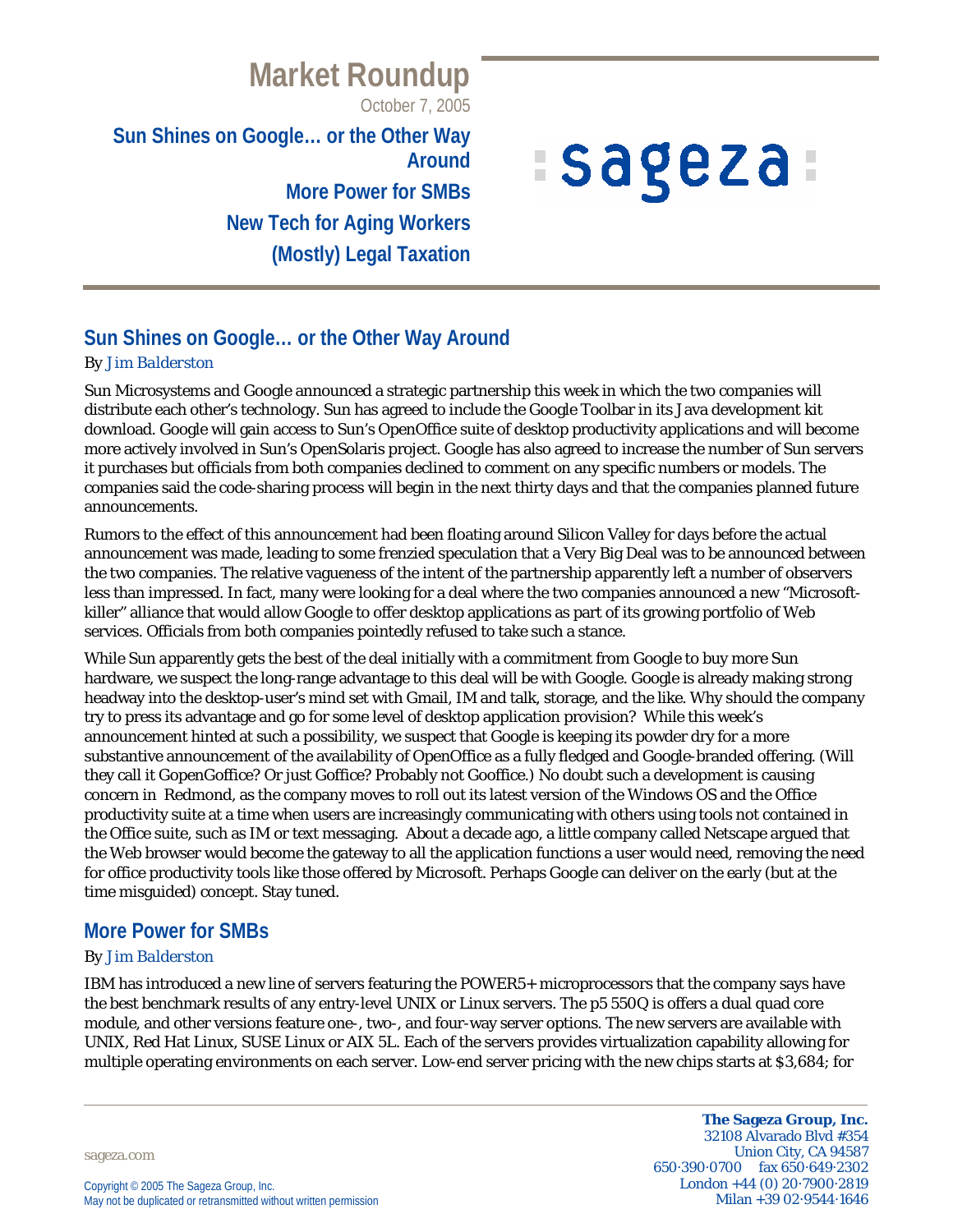# **Market Roundup**

October 7, 2005

**Sun Shines on Google… or the Other Way Around More Power for SMBs New Tech for Aging Workers**

**(Mostly) Legal Taxation**

# *ISageza*

# **Sun Shines on Google… or the Other Way Around**

#### *By Jim Balderston*

Sun Microsystems and Google announced a strategic partnership this week in which the two companies will distribute each other's technology. Sun has agreed to include the Google Toolbar in its Java development kit download. Google will gain access to Sun's OpenOffice suite of desktop productivity applications and will become more actively involved in Sun's OpenSolaris project. Google has also agreed to increase the number of Sun servers it purchases but officials from both companies declined to comment on any specific numbers or models. The companies said the code-sharing process will begin in the next thirty days and that the companies planned future announcements.

Rumors to the effect of this announcement had been floating around Silicon Valley for days before the actual announcement was made, leading to some frenzied speculation that a Very Big Deal was to be announced between the two companies. The relative vagueness of the intent of the partnership apparently left a number of observers less than impressed. In fact, many were looking for a deal where the two companies announced a new "Microsoftkiller" alliance that would allow Google to offer desktop applications as part of its growing portfolio of Web services. Officials from both companies pointedly refused to take such a stance.

While Sun apparently gets the best of the deal initially with a commitment from Google to buy more Sun hardware, we suspect the long-range advantage to this deal will be with Google. Google is already making strong headway into the desktop-user's mind set with Gmail, IM and talk, storage, and the like. Why should the company try to press its advantage and go for some level of desktop application provision? While this week's announcement hinted at such a possibility, we suspect that Google is keeping its powder dry for a more substantive announcement of the availability of OpenOffice as a fully fledged and Google-branded offering. (Will they call it GopenGoffice? Or just Goffice? Probably not Gooffice.) No doubt such a development is causing concern in Redmond, as the company moves to roll out its latest version of the Windows OS and the Office productivity suite at a time when users are increasingly communicating with others using tools not contained in the Office suite, such as IM or text messaging. About a decade ago, a little company called Netscape argued that the Web browser would become the gateway to all the application functions a user would need, removing the need for office productivity tools like those offered by Microsoft. Perhaps Google can deliver on the early (but at the time misguided) concept. Stay tuned.

# **More Power for SMBs**

#### *By Jim Balderston*

IBM has introduced a new line of servers featuring the POWER5+ microprocessors that the company says have the best benchmark results of any entry-level UNIX or Linux servers. The p5 550Q is offers a dual quad core module, and other versions feature one-, two-, and four-way server options. The new servers are available with UNIX, Red Hat Linux, SUSE Linux or AIX 5L. Each of the servers provides virtualization capability allowing for multiple operating environments on each server. Low-end server pricing with the new chips starts at \$3,684; for

sageza.com

**The Sageza Group, Inc.** 32108 Alvarado Blvd #354 Union City, CA 94587 650·390·0700 fax 650·649·2302 London +44 (0) 20·7900·2819 Milan +39 02·9544·1646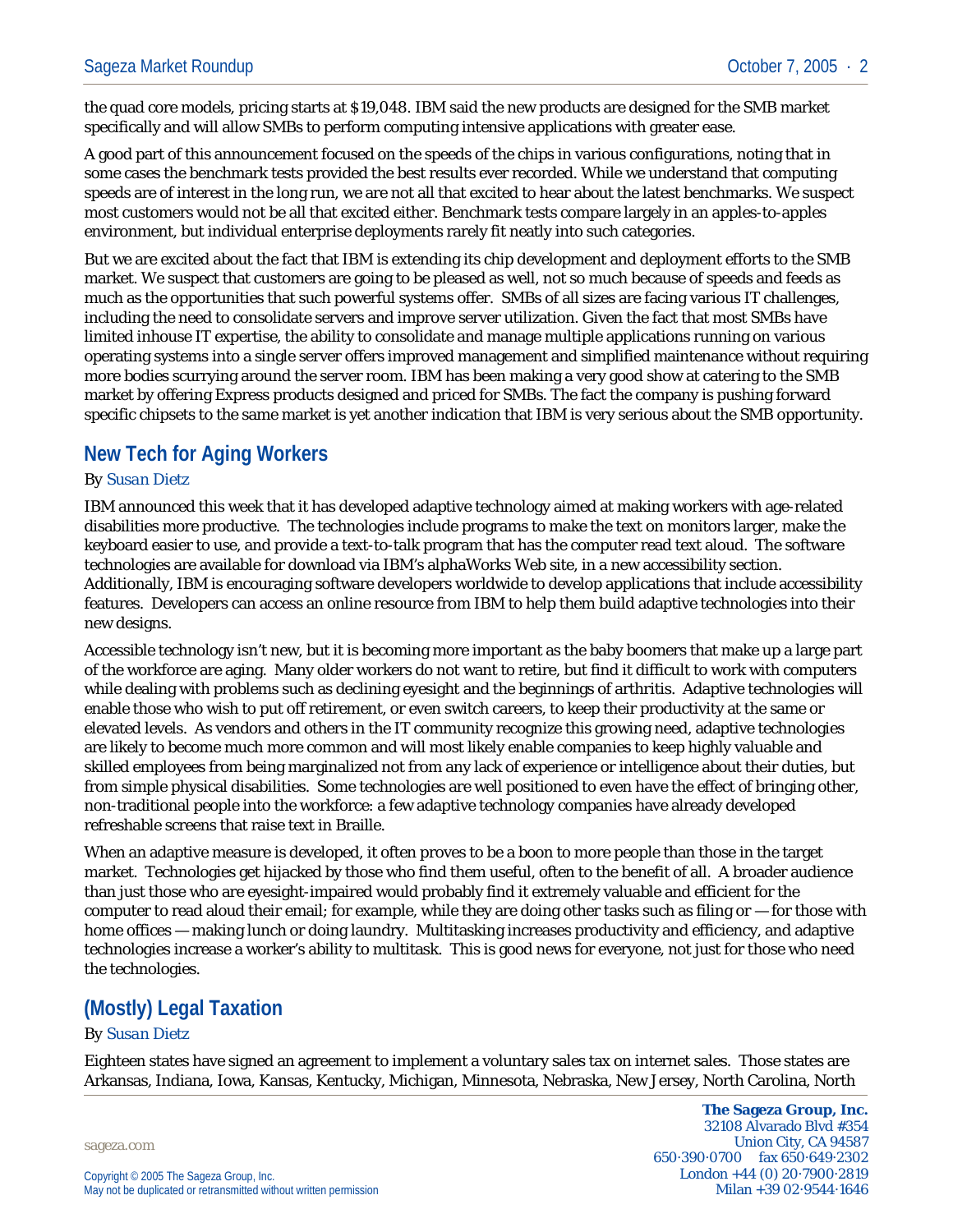the quad core models, pricing starts at \$19,048. IBM said the new products are designed for the SMB market specifically and will allow SMBs to perform computing intensive applications with greater ease.

A good part of this announcement focused on the speeds of the chips in various configurations, noting that in some cases the benchmark tests provided the best results ever recorded. While we understand that computing speeds are of interest in the long run, we are not all that excited to hear about the latest benchmarks. We suspect most customers would not be all that excited either. Benchmark tests compare largely in an apples-to-apples environment, but individual enterprise deployments rarely fit neatly into such categories.

But we are excited about the fact that IBM is extending its chip development and deployment efforts to the SMB market. We suspect that customers are going to be pleased as well, not so much because of speeds and feeds as much as the opportunities that such powerful systems offer. SMBs of all sizes are facing various IT challenges, including the need to consolidate servers and improve server utilization. Given the fact that most SMBs have limited inhouse IT expertise, the ability to consolidate and manage multiple applications running on various operating systems into a single server offers improved management and simplified maintenance without requiring more bodies scurrying around the server room. IBM has been making a very good show at catering to the SMB market by offering Express products designed and priced for SMBs. The fact the company is pushing forward specific chipsets to the same market is yet another indication that IBM is very serious about the SMB opportunity.

### **New Tech for Aging Workers**

#### *By Susan Dietz*

IBM announced this week that it has developed adaptive technology aimed at making workers with age-related disabilities more productive. The technologies include programs to make the text on monitors larger, make the keyboard easier to use, and provide a text-to-talk program that has the computer read text aloud. The software technologies are available for download via IBM's alphaWorks Web site, in a new accessibility section. Additionally, IBM is encouraging software developers worldwide to develop applications that include accessibility features. Developers can access an online resource from IBM to help them build adaptive technologies into their new designs.

Accessible technology isn't new, but it is becoming more important as the baby boomers that make up a large part of the workforce are aging. Many older workers do not want to retire, but find it difficult to work with computers while dealing with problems such as declining eyesight and the beginnings of arthritis. Adaptive technologies will enable those who wish to put off retirement, or even switch careers, to keep their productivity at the same or elevated levels. As vendors and others in the IT community recognize this growing need, adaptive technologies are likely to become much more common and will most likely enable companies to keep highly valuable and skilled employees from being marginalized not from any lack of experience or intelligence about their duties, but from simple physical disabilities. Some technologies are well positioned to even have the effect of bringing other, non-traditional people into the workforce: a few adaptive technology companies have already developed refreshable screens that raise text in Braille.

When an adaptive measure is developed, it often proves to be a boon to more people than those in the target market. Technologies get hijacked by those who find them useful, often to the benefit of all. A broader audience than just those who are eyesight-impaired would probably find it extremely valuable and efficient for the computer to read aloud their email; for example, while they are doing other tasks such as filing or — for those with home offices — making lunch or doing laundry. Multitasking increases productivity and efficiency, and adaptive technologies increase a worker's ability to multitask. This is good news for everyone, not just for those who need the technologies.

# **(Mostly) Legal Taxation**

#### *By Susan Dietz*

Eighteen states have signed an agreement to implement a voluntary sales tax on internet sales. Those states are Arkansas, Indiana, Iowa, Kansas, Kentucky, Michigan, Minnesota, Nebraska, New Jersey, North Carolina, North

sageza.com